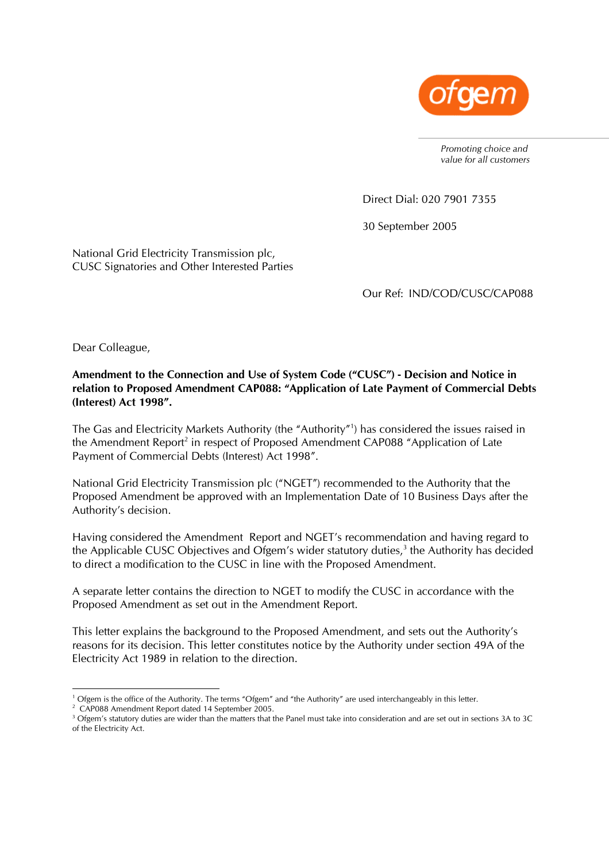

*Promoting choice and value for all customers* 

Direct Dial: 020 7901 7355

30 September 2005

National Grid Electricity Transmission plc, CUSC Signatories and Other Interested Parties

Our Ref: IND/COD/CUSC/CAP088

Dear Colleague,

**Amendment to the Connection and Use of System Code ("CUSC") - Decision and Notice in relation to Proposed Amendment CAP088: "Application of Late Payment of Commercial Debts (Interest) Act 1998".** 

The Gas and Electricity Markets Authority (the "Authority"[1](#page-0-0) ) has considered the issues raised in the Amendment Report<sup>2</sup> in respect of Proposed Amendment CAP088 "Application of Late Payment of Commercial Debts (Interest) Act 1998".

National Grid Electricity Transmission plc ("NGET") recommended to the Authority that the Proposed Amendment be approved with an Implementation Date of 10 Business Days after the Authority's decision.

Having considered the Amendment Report and NGET's recommendation and having regard to the Applicable CUSC Objectives and Ofgem's wider statutory duties, $<sup>3</sup>$  $<sup>3</sup>$  $<sup>3</sup>$  the Authority has decided</sup> to direct a modification to the CUSC in line with the Proposed Amendment.

A separate letter contains the direction to NGET to modify the CUSC in accordance with the Proposed Amendment as set out in the Amendment Report.

This letter explains the background to the Proposed Amendment, and sets out the Authority's reasons for its decision. This letter constitutes notice by the Authority under section 49A of the Electricity Act 1989 in relation to the direction.

 $\frac{1}{1}$ <sup>1</sup> Ofgem is the office of the Authority. The terms "Ofgem" and "the Authority" are used interchangeably in this letter.

<span id="page-0-1"></span><span id="page-0-0"></span><sup>&</sup>lt;sup>2</sup> CAP088 Amendment Report dated 14 September 2005.

<span id="page-0-2"></span><sup>&</sup>lt;sup>3</sup> Ofgem's statutory duties are wider than the matters that the Panel must take into consideration and are set out in sections 3A to 3C of the Electricity Act.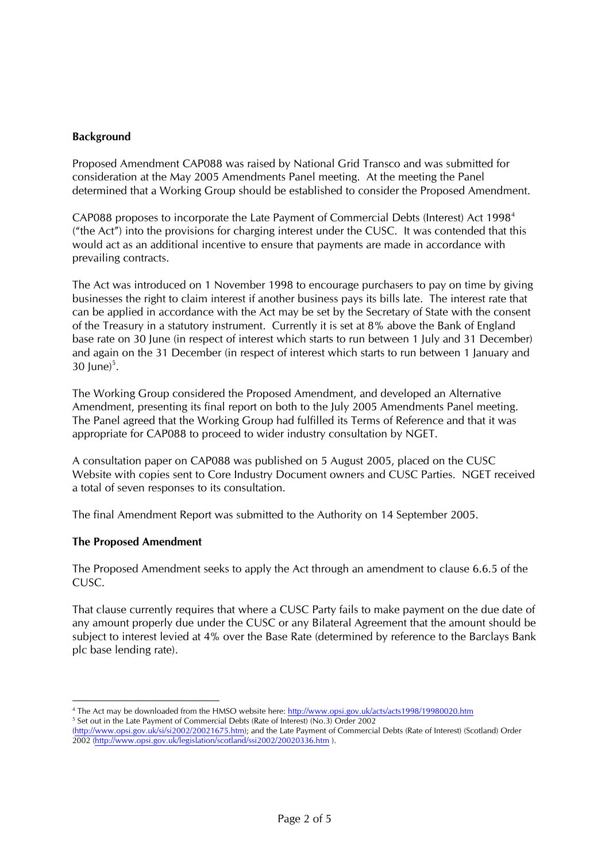# **Background**

Proposed Amendment CAP088 was raised by National Grid Transco and was submitted for consideration at the May 2005 Amendments Panel meeting. At the meeting the Panel determined that a Working Group should be established to consider the Proposed Amendment.

CAP088 proposes to incorporate the Late Payment of Commercial Debts (Interest) Act 1998[4](#page-1-0) ("the Act") into the provisions for charging interest under the CUSC. It was contended that this would act as an additional incentive to ensure that payments are made in accordance with prevailing contracts.

The Act was introduced on 1 November 1998 to encourage purchasers to pay on time by giving businesses the right to claim interest if another business pays its bills late. The interest rate that can be applied in accordance with the Act may be set by the Secretary of State with the consent of the Treasury in a statutory instrument. Currently it is set at 8% above the Bank of England base rate on 30 June (in respect of interest which starts to run between 1 July and 31 December) and again on the 31 December (in respect of interest which starts to run between 1 January and  $30 \text{ June}$ <sup>[5](#page-1-1)</sup>.

The Working Group considered the Proposed Amendment, and developed an Alternative Amendment, presenting its final report on both to the July 2005 Amendments Panel meeting. The Panel agreed that the Working Group had fulfilled its Terms of Reference and that it was appropriate for CAP088 to proceed to wider industry consultation by NGET.

A consultation paper on CAP088 was published on 5 August 2005, placed on the CUSC Website with copies sent to Core Industry Document owners and CUSC Parties. NGET received a total of seven responses to its consultation.

The final Amendment Report was submitted to the Authority on 14 September 2005.

## **The Proposed Amendment**

The Proposed Amendment seeks to apply the Act through an amendment to clause 6.6.5 of the CUSC.

That clause currently requires that where a CUSC Party fails to make payment on the due date of any amount properly due under the CUSC or any Bilateral Agreement that the amount should be subject to interest levied at 4% over the Base Rate (determined by reference to the Barclays Bank plc base lending rate).

 $\frac{1}{4}$ <sup>4</sup> The Act may be downloaded from the HMSO website here: http://www.opsi.gov.uk/acts/acts1998/19980020.htm

<span id="page-1-1"></span><span id="page-1-0"></span><sup>&</sup>lt;sup>5</sup> Set out in the Late Payment of Commercial Debts (Rate of Interest) (No.3) Order 2002

<sup>(</sup>[http://www.opsi.gov.uk/si/si2002/20021675.htm\)](http://www.opsi.gov.uk/si/si2002/20021675.htm); and the Late Payment of Commercial Debts (Rate of Interest) (Scotland) Order 2002 (<http://www.opsi.gov.uk/legislation/scotland/ssi2002/20020336.htm>).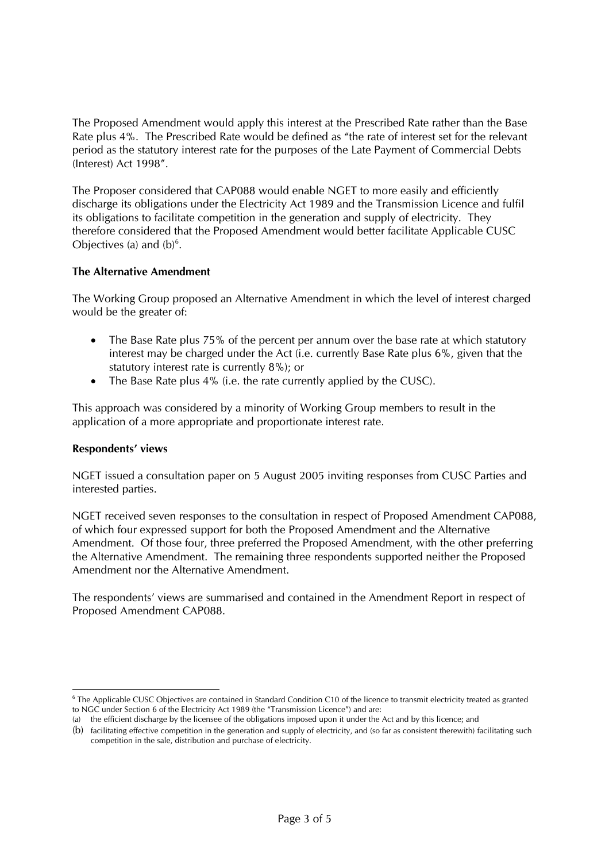The Proposed Amendment would apply this interest at the Prescribed Rate rather than the Base Rate plus 4%. The Prescribed Rate would be defined as "the rate of interest set for the relevant period as the statutory interest rate for the purposes of the Late Payment of Commercial Debts (Interest) Act 1998".

The Proposer considered that CAP088 would enable NGET to more easily and efficiently discharge its obligations under the Electricity Act 1989 and the Transmission Licence and fulfil its obligations to facilitate competition in the generation and supply of electricity. They therefore considered that the Proposed Amendment would better facilitate Applicable CUSC Objectives (a) and  $(b)^6$  $(b)^6$ .

## **The Alternative Amendment**

The Working Group proposed an Alternative Amendment in which the level of interest charged would be the greater of:

- The Base Rate plus 75% of the percent per annum over the base rate at which statutory interest may be charged under the Act (i.e. currently Base Rate plus 6%, given that the statutory interest rate is currently 8%); or
- The Base Rate plus 4% (i.e. the rate currently applied by the CUSC).

This approach was considered by a minority of Working Group members to result in the application of a more appropriate and proportionate interest rate.

## **Respondents' views**

NGET issued a consultation paper on 5 August 2005 inviting responses from CUSC Parties and interested parties.

NGET received seven responses to the consultation in respect of Proposed Amendment CAP088, of which four expressed support for both the Proposed Amendment and the Alternative Amendment. Of those four, three preferred the Proposed Amendment, with the other preferring the Alternative Amendment. The remaining three respondents supported neither the Proposed Amendment nor the Alternative Amendment.

The respondents' views are summarised and contained in the Amendment Report in respect of Proposed Amendment CAP088.

<span id="page-2-0"></span><sup>-&</sup>lt;br>6 <sup>6</sup> The Applicable CUSC Objectives are contained in Standard Condition C10 of the licence to transmit electricity treated as granted to NGC under Section 6 of the Electricity Act 1989 (the "Transmission Licence") and are:

<sup>(</sup>a) the efficient discharge by the licensee of the obligations imposed upon it under the Act and by this licence; and

<sup>(</sup>b) facilitating effective competition in the generation and supply of electricity, and (so far as consistent therewith) facilitating such competition in the sale, distribution and purchase of electricity.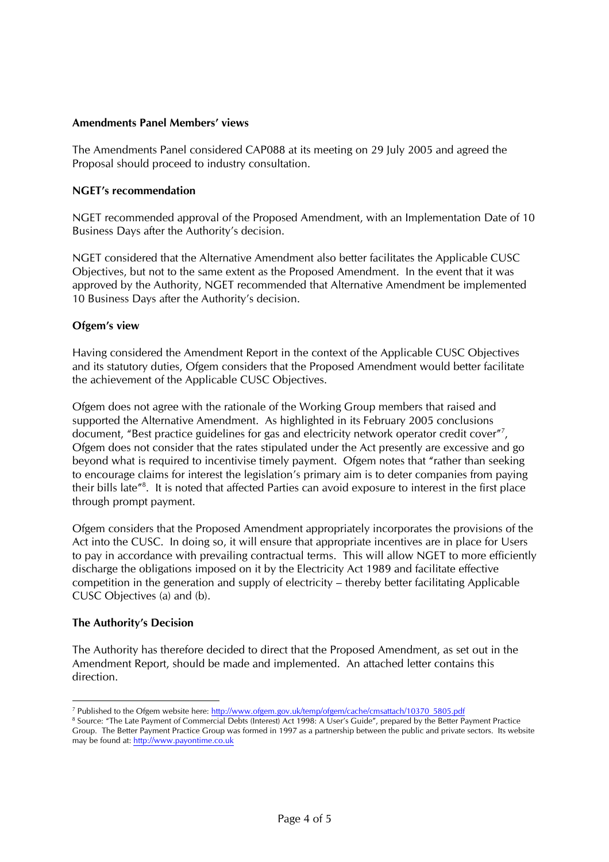## **Amendments Panel Members' views**

The Amendments Panel considered CAP088 at its meeting on 29 July 2005 and agreed the Proposal should proceed to industry consultation.

#### **NGET's recommendation**

NGET recommended approval of the Proposed Amendment, with an Implementation Date of 10 Business Days after the Authority's decision.

NGET considered that the Alternative Amendment also better facilitates the Applicable CUSC Objectives, but not to the same extent as the Proposed Amendment. In the event that it was approved by the Authority, NGET recommended that Alternative Amendment be implemented 10 Business Days after the Authority's decision.

#### **Ofgem's view**

Having considered the Amendment Report in the context of the Applicable CUSC Objectives and its statutory duties, Ofgem considers that the Proposed Amendment would better facilitate the achievement of the Applicable CUSC Objectives.

Ofgem does not agree with the rationale of the Working Group members that raised and supported the Alternative Amendment. As highlighted in its February 2005 conclusions document, "Best practice guidelines for gas and electricity network operator credit cover"<sup>[7](#page-3-0)</sup>, Ofgem does not consider that the rates stipulated under the Act presently are excessive and go beyond what is required to incentivise timely payment. Ofgem notes that "rather than seeking to encourage claims for interest the legislation's primary aim is to deter companies from paying their bills late<sup>"[8](#page-3-1)</sup>. It is noted that affected Parties can avoid exposure to interest in the first place through prompt payment.

Ofgem considers that the Proposed Amendment appropriately incorporates the provisions of the Act into the CUSC. In doing so, it will ensure that appropriate incentives are in place for Users to pay in accordance with prevailing contractual terms. This will allow NGET to more efficiently discharge the obligations imposed on it by the Electricity Act 1989 and facilitate effective competition in the generation and supply of electricity – thereby better facilitating Applicable CUSC Objectives (a) and (b).

## **The Authority's Decision**

The Authority has therefore decided to direct that the Proposed Amendment, as set out in the Amendment Report, should be made and implemented. An attached letter contains this direction.

 $\frac{1}{7}$ <sup>7</sup> Published to the Ofgem website here: [http://www.ofgem.gov.uk/temp/ofgem/cache/cmsattach/10370\\_5805.pdf](http://www.ofgem.gov.uk/temp/ofgem/cache/cmsattach/10370_5805.pdf)

<span id="page-3-1"></span><span id="page-3-0"></span><sup>&</sup>lt;sup>8</sup> Source: "The Late Payment of Commercial Debts (Interest) Act 1998: A User's Guide", prepared by the Better Payment Practice Group. The Better Payment Practice Group was formed in 1997 as a partnership between the public and private sectors. Its website may be found at: [http://www.payontime.co.uk](http://www.payontime.co.uk/)